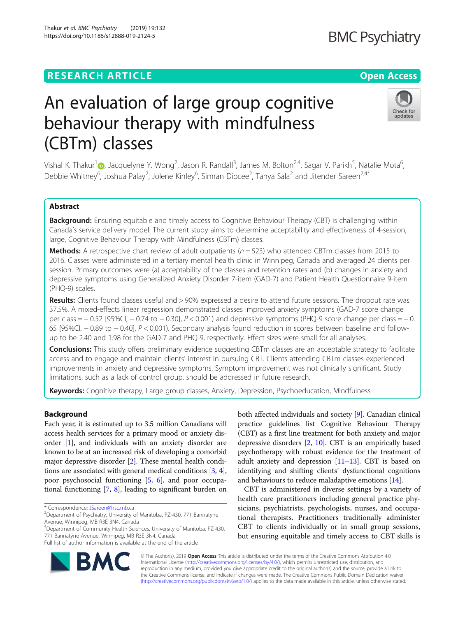## **RESEARCH ARTICLE Example 2014 12:30 The Open Access**

# An evaluation of large group cognitive behaviour therapy with mindfulness (CBTm) classes

Vishal K. Thakur<sup>1</sup>@[,](http://orcid.org/0000-0003-3315-9379) Jacquelyne Y. Wong<sup>2</sup>, Jason R. Randall<sup>3</sup>, James M. Bolton<sup>2,4</sup>, Sagar V. Parikh<sup>5</sup>, Natalie Mota<sup>6</sup> , Debbie Whitney<sup>6</sup>, Joshua Palay<sup>2</sup>, Jolene Kinley<sup>6</sup>, Simran Diocee<sup>2</sup>, Tanya Sala<sup>2</sup> and Jitender Sareen<sup>2,4\*</sup>

## Abstract

Background: Ensuring equitable and timely access to Cognitive Behaviour Therapy (CBT) is challenging within Canada's service delivery model. The current study aims to determine acceptability and effectiveness of 4-session, large, Cognitive Behaviour Therapy with Mindfulness (CBTm) classes.

**Methods:** A retrospective chart review of adult outpatients ( $n = 523$ ) who attended CBTm classes from 2015 to 2016. Classes were administered in a tertiary mental health clinic in Winnipeg, Canada and averaged 24 clients per session. Primary outcomes were (a) acceptability of the classes and retention rates and (b) changes in anxiety and depressive symptoms using Generalized Anxiety Disorder 7-item (GAD-7) and Patient Health Questionnaire 9-item (PHQ-9) scales.

Results: Clients found classes useful and > 90% expressed a desire to attend future sessions. The dropout rate was 37.5%. A mixed-effects linear regression demonstrated classes improved anxiety symptoms (GAD-7 score change per class = − 0.52 [95%CI, − 0.74 to − 0.30], P < 0.001) and depressive symptoms (PHQ-9 score change per class = − 0. 65 [95%CI, − 0.89 to − 0.40], P < 0.001). Secondary analysis found reduction in scores between baseline and followup to be 2.40 and 1.98 for the GAD-7 and PHQ-9, respectively. Effect sizes were small for all analyses.

**Conclusions:** This study offers preliminary evidence suggesting CBTm classes are an acceptable strategy to facilitate access and to engage and maintain clients' interest in pursuing CBT. Clients attending CBTm classes experienced improvements in anxiety and depressive symptoms. Symptom improvement was not clinically significant. Study limitations, such as a lack of control group, should be addressed in future research.

Keywords: Cognitive therapy, Large group classes, Anxiety, Depression, Psychoeducation, Mindfulness

## Background

Each year, it is estimated up to 3.5 million Canadians will access health services for a primary mood or anxiety disorder [\[1](#page-8-0)], and individuals with an anxiety disorder are known to be at an increased risk of developing a comorbid major depressive disorder [\[2](#page-8-0)]. These mental health conditions are associated with general medical conditions [[3,](#page-8-0) [4](#page-8-0)], poor psychosocial functioning [\[5,](#page-8-0) [6\]](#page-8-0), and poor occupational functioning [[7](#page-8-0), [8\]](#page-8-0), leading to significant burden on

4 Department of Community Health Sciences, University of Manitoba, PZ-430, 771 Bannatyne Avenue, Winnipeg, MB R3E 3N4, Canada

Full list of author information is available at the end of the article

© The Author(s). 2019 **Open Access** This article is distributed under the terms of the Creative Commons Attribution 4.0

International License [\(http://creativecommons.org/licenses/by/4.0/](http://creativecommons.org/licenses/by/4.0/)), which permits unrestricted use, distribution, and reproduction in any medium, provided you give appropriate credit to the original author(s) and the source, provide a link to the Creative Commons license, and indicate if changes were made. The Creative Commons Public Domain Dedication waiver [\(http://creativecommons.org/publicdomain/zero/1.0/](http://creativecommons.org/publicdomain/zero/1.0/)) applies to the data made available in this article, unless otherwise stated.

both affected individuals and society [[9\]](#page-8-0). Canadian clinical practice guidelines list Cognitive Behaviour Therapy (CBT) as a first line treatment for both anxiety and major depressive disorders [\[2,](#page-8-0) [10](#page-8-0)]. CBT is an empirically based psychotherapy with robust evidence for the treatment of adult anxiety and depression [\[11](#page-8-0)–[13](#page-8-0)]. CBT is based on identifying and shifting clients' dysfunctional cognitions and behaviours to reduce maladaptive emotions [[14](#page-8-0)].

CBT is administered in diverse settings by a variety of health care practitioners including general practice physicians, psychiatrists, psychologists, nurses, and occupational therapists. Practitioners traditionally administer CBT to clients individually or in small group sessions, but ensuring equitable and timely access to CBT skills is





# **BMC Psychiatry**

<sup>\*</sup> Correspondence: [JSareen@hsc.mb.ca](mailto:JSareen@hsc.mb.ca) <sup>2</sup>

<sup>&</sup>lt;sup>2</sup>Department of Psychiatry, University of Manitoba, PZ-430, 771 Bannatyne Avenue, Winnipeg, MB R3E 3N4, Canada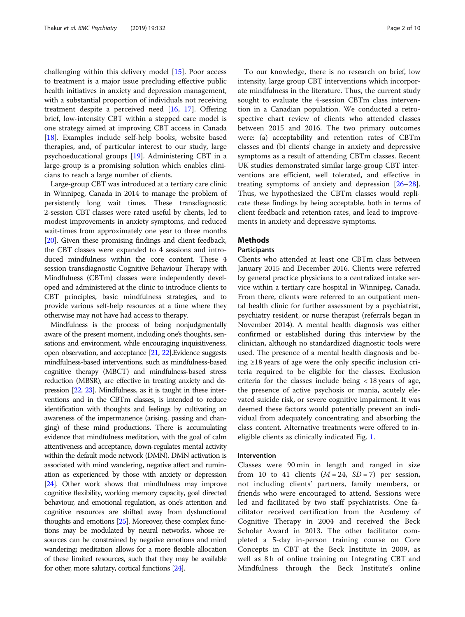challenging within this delivery model [\[15](#page-8-0)]. Poor access to treatment is a major issue precluding effective public health initiatives in anxiety and depression management, with a substantial proportion of individuals not receiving treatment despite a perceived need [\[16](#page-8-0), [17\]](#page-8-0). Offering brief, low-intensity CBT within a stepped care model is one strategy aimed at improving CBT access in Canada [[18\]](#page-8-0). Examples include self-help books, website based therapies, and, of particular interest to our study, large psychoeducational groups [\[19](#page-8-0)]. Administering CBT in a large-group is a promising solution which enables clinicians to reach a large number of clients.

Large-group CBT was introduced at a tertiary care clinic in Winnipeg, Canada in 2014 to manage the problem of persistently long wait times. These transdiagnostic 2-session CBT classes were rated useful by clients, led to modest improvements in anxiety symptoms, and reduced wait-times from approximately one year to three months [[20](#page-8-0)]. Given these promising findings and client feedback, the CBT classes were expanded to 4 sessions and introduced mindfulness within the core content. These 4 session transdiagnostic Cognitive Behaviour Therapy with Mindfulness (CBTm) classes were independently developed and administered at the clinic to introduce clients to CBT principles, basic mindfulness strategies, and to provide various self-help resources at a time where they otherwise may not have had access to therapy.

Mindfulness is the process of being nonjudgmentally aware of the present moment, including one's thoughts, sensations and environment, while encouraging inquisitiveness, open observation, and acceptance [\[21,](#page-8-0) [22\]](#page-8-0).Evidence suggests mindfulness-based interventions, such as mindfulness-based cognitive therapy (MBCT) and mindfulness-based stress reduction (MBSR), are effective in treating anxiety and depression [[22,](#page-8-0) [23](#page-8-0)]. Mindfulness, as it is taught in these interventions and in the CBTm classes, is intended to reduce identification with thoughts and feelings by cultivating an awareness of the impermanence (arising, passing and changing) of these mind productions. There is accumulating evidence that mindfulness meditation, with the goal of calm attentiveness and acceptance, down-regulates mental activity within the default mode network (DMN). DMN activation is associated with mind wandering, negative affect and rumination as experienced by those with anxiety or depression [[24\]](#page-8-0). Other work shows that mindfulness may improve cognitive flexibility, working memory capacity, goal directed behaviour, and emotional regulation, as one's attention and cognitive resources are shifted away from dysfunctional thoughts and emotions [\[25\]](#page-8-0). Moreover, these complex functions may be modulated by neural networks, whose resources can be constrained by negative emotions and mind wandering; meditation allows for a more flexible allocation of these limited resources, such that they may be available for other, more salutary, cortical functions [\[24](#page-8-0)].

To our knowledge, there is no research on brief, low intensity, large group CBT interventions which incorporate mindfulness in the literature. Thus, the current study sought to evaluate the 4-session CBTm class intervention in a Canadian population. We conducted a retrospective chart review of clients who attended classes between 2015 and 2016. The two primary outcomes were: (a) acceptability and retention rates of CBTm classes and (b) clients' change in anxiety and depressive symptoms as a result of attending CBTm classes. Recent UK studies demonstrated similar large-group CBT interventions are efficient, well tolerated, and effective in treating symptoms of anxiety and depression [[26](#page-8-0)–[28](#page-8-0)]. Thus, we hypothesized the CBTm classes would replicate these findings by being acceptable, both in terms of client feedback and retention rates, and lead to improvements in anxiety and depressive symptoms.

## Methods

## Participants

Clients who attended at least one CBTm class between January 2015 and December 2016. Clients were referred by general practice physicians to a centralized intake service within a tertiary care hospital in Winnipeg, Canada. From there, clients were referred to an outpatient mental health clinic for further assessment by a psychiatrist, psychiatry resident, or nurse therapist (referrals began in November 2014). A mental health diagnosis was either confirmed or established during this interview by the clinician, although no standardized diagnostic tools were used. The presence of a mental health diagnosis and being ≥18 years of age were the only specific inclusion criteria required to be eligible for the classes. Exclusion criteria for the classes include being < 18 years of age, the presence of active psychosis or mania, acutely elevated suicide risk, or severe cognitive impairment. It was deemed these factors would potentially prevent an individual from adequately concentrating and absorbing the class content. Alternative treatments were offered to ineligible clients as clinically indicated Fig. [1](#page-2-0).

## Intervention

Classes were 90 min in length and ranged in size from 10 to 41 clients  $(M = 24, SD = 7)$  per session, not including clients' partners, family members, or friends who were encouraged to attend. Sessions were led and facilitated by two staff psychiatrists. One facilitator received certification from the Academy of Cognitive Therapy in 2004 and received the Beck Scholar Award in 2013. The other facilitator completed a 5-day in-person training course on Core Concepts in CBT at the Beck Institute in 2009, as well as 8 h of online training on Integrating CBT and Mindfulness through the Beck Institute's online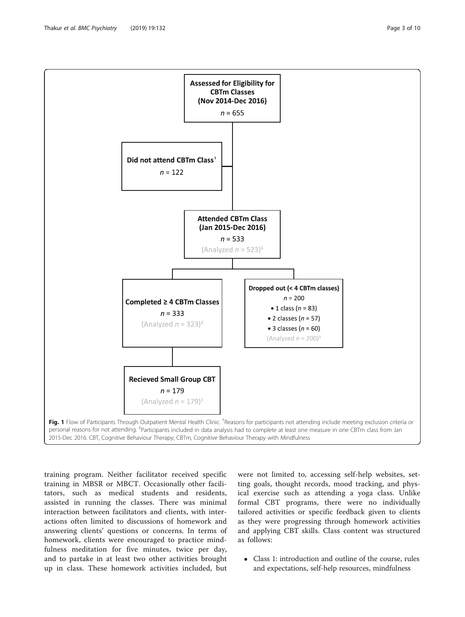<span id="page-2-0"></span>

training program. Neither facilitator received specific training in MBSR or MBCT. Occasionally other facilitators, such as medical students and residents, assisted in running the classes. There was minimal interaction between facilitators and clients, with interactions often limited to discussions of homework and answering clients' questions or concerns. In terms of homework, clients were encouraged to practice mindfulness meditation for five minutes, twice per day, and to partake in at least two other activities brought up in class. These homework activities included, but

were not limited to, accessing self-help websites, setting goals, thought records, mood tracking, and physical exercise such as attending a yoga class. Unlike formal CBT programs, there were no individually tailored activities or specific feedback given to clients as they were progressing through homework activities and applying CBT skills. Class content was structured as follows:

 Class 1: introduction and outline of the course, rules and expectations, self-help resources, mindfulness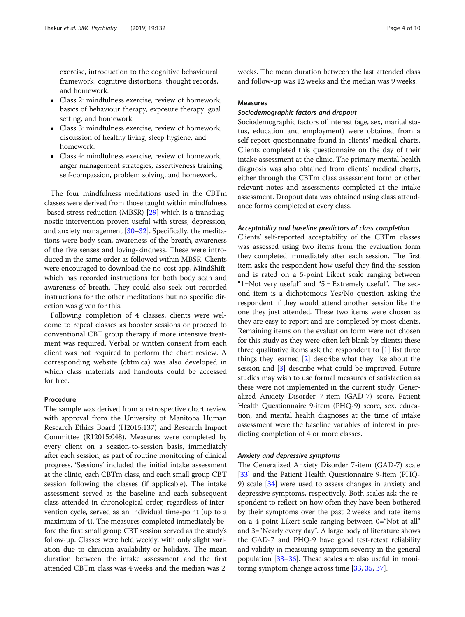exercise, introduction to the cognitive behavioural framework, cognitive distortions, thought records, and homework.

- Class 2: mindfulness exercise, review of homework, basics of behaviour therapy, exposure therapy, goal setting, and homework.
- Class 3: mindfulness exercise, review of homework, discussion of healthy living, sleep hygiene, and homework.
- Class 4: mindfulness exercise, review of homework, anger management strategies, assertiveness training, self-compassion, problem solving, and homework.

The four mindfulness meditations used in the CBTm classes were derived from those taught within mindfulness -based stress reduction (MBSR) [[29](#page-8-0)] which is a transdiagnostic intervention proven useful with stress, depression, and anxiety management [[30](#page-8-0)–[32\]](#page-8-0). Specifically, the meditations were body scan, awareness of the breath, awareness of the five senses and loving-kindness. These were introduced in the same order as followed within MBSR. Clients were encouraged to download the no-cost app, MindShift, which has recorded instructions for both body scan and awareness of breath. They could also seek out recorded instructions for the other meditations but no specific direction was given for this.

Following completion of 4 classes, clients were welcome to repeat classes as booster sessions or proceed to conventional CBT group therapy if more intensive treatment was required. Verbal or written consent from each client was not required to perform the chart review. A corresponding website (cbtm.ca) was also developed in which class materials and handouts could be accessed for free.

## Procedure

The sample was derived from a retrospective chart review with approval from the University of Manitoba Human Research Ethics Board (H2015:137) and Research Impact Committee (R12015:048). Measures were completed by every client on a session-to-session basis, immediately after each session, as part of routine monitoring of clinical progress. 'Sessions' included the initial intake assessment at the clinic, each CBTm class, and each small group CBT session following the classes (if applicable). The intake assessment served as the baseline and each subsequent class attended in chronological order, regardless of intervention cycle, served as an individual time-point (up to a maximum of 4). The measures completed immediately before the first small group CBT session served as the study's follow-up. Classes were held weekly, with only slight variation due to clinician availability or holidays. The mean duration between the intake assessment and the first attended CBTm class was 4 weeks and the median was 2

weeks. The mean duration between the last attended class and follow-up was 12 weeks and the median was 9 weeks.

#### Measures

## Sociodemographic factors and dropout

Sociodemographic factors of interest (age, sex, marital status, education and employment) were obtained from a self-report questionnaire found in clients' medical charts. Clients completed this questionnaire on the day of their intake assessment at the clinic. The primary mental health diagnosis was also obtained from clients' medical charts, either through the CBTm class assessment form or other relevant notes and assessments completed at the intake assessment. Dropout data was obtained using class attendance forms completed at every class.

#### Acceptability and baseline predictors of class completion

Clients' self-reported acceptability of the CBTm classes was assessed using two items from the evaluation form they completed immediately after each session. The first item asks the respondent how useful they find the session and is rated on a 5-point Likert scale ranging between "1=Not very useful" and "5 = Extremely useful". The second item is a dichotomous Yes/No question asking the respondent if they would attend another session like the one they just attended. These two items were chosen as they are easy to report and are completed by most clients. Remaining items on the evaluation form were not chosen for this study as they were often left blank by clients; these three qualitative items ask the respondent to  $[1]$  list three things they learned [[2\]](#page-8-0) describe what they like about the session and [\[3\]](#page-8-0) describe what could be improved. Future studies may wish to use formal measures of satisfaction as these were not implemented in the current study. Generalized Anxiety Disorder 7-item (GAD-7) score, Patient Health Questionnaire 9-item (PHQ-9) score, sex, education, and mental health diagnoses at the time of intake assessment were the baseline variables of interest in predicting completion of 4 or more classes.

## Anxiety and depressive symptoms

The Generalized Anxiety Disorder 7-item (GAD-7) scale [[33](#page-9-0)] and the Patient Health Questionnaire 9-item (PHQ-9) scale [[34](#page-9-0)] were used to assess changes in anxiety and depressive symptoms, respectively. Both scales ask the respondent to reflect on how often they have been bothered by their symptoms over the past 2 weeks and rate items on a 4-point Likert scale ranging between 0="Not at all" and 3="Nearly every day". A large body of literature shows the GAD-7 and PHQ-9 have good test-retest reliability and validity in measuring symptom severity in the general population [\[33](#page-9-0)–[36](#page-9-0)]. These scales are also useful in monitoring symptom change across time [\[33,](#page-9-0) [35](#page-9-0), [37\]](#page-9-0).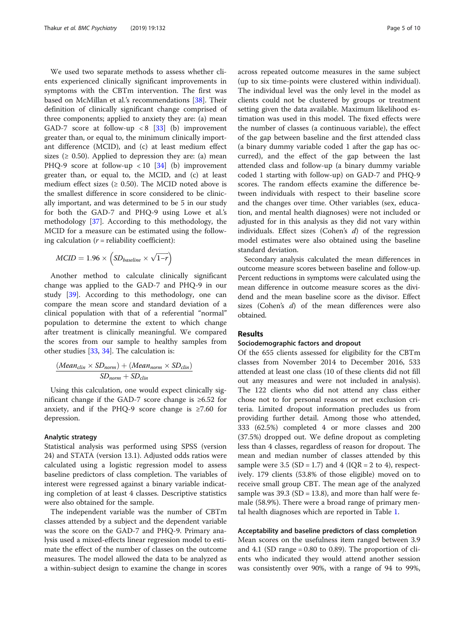We used two separate methods to assess whether clients experienced clinically significant improvements in symptoms with the CBTm intervention. The first was based on McMillan et al.'s recommendations [[38](#page-9-0)]. Their definition of clinically significant change comprised of three components; applied to anxiety they are: (a) mean GAD-7 score at follow-up  $\langle 8 \rangle$  [\[33](#page-9-0)] (b) improvement greater than, or equal to, the minimum clinically important difference (MCID), and (c) at least medium effect sizes ( $\geq$  0.50). Applied to depression they are: (a) mean PHQ-9 score at follow-up  $\langle 10|34|$  $\langle 10|34|$  $\langle 10|34|$  (b) improvement greater than, or equal to, the MCID, and (c) at least medium effect sizes ( $\geq$  0.50). The MCID noted above is the smallest difference in score considered to be clinically important, and was determined to be 5 in our study for both the GAD-7 and PHQ-9 using Lowe et al.'s methodology [[37\]](#page-9-0). According to this methodology, the MCID for a measure can be estimated using the following calculation  $(r =$  reliability coefficient):

$$
MCID = 1.96 \times \left(SD_{baseline} \times \sqrt{1-r}\right)
$$

Another method to calculate clinically significant change was applied to the GAD-7 and PHQ-9 in our study [[39\]](#page-9-0). According to this methodology, one can compare the mean score and standard deviation of a clinical population with that of a referential "normal" population to determine the extent to which change after treatment is clinically meaningful. We compared the scores from our sample to healthy samples from other studies [[33](#page-9-0), [34](#page-9-0)]. The calculation is:

$$
\frac{(Mean_{clin} \times SD_{norm}) + (Mean_{norm} \times SD_{clin})}{SD_{norm} + SD_{clin}}
$$

Using this calculation, one would expect clinically significant change if the GAD-7 score change is ≥6.52 for anxiety, and if the PHQ-9 score change is  $\geq 7.60$  for depression.

## Analytic strategy

Statistical analysis was performed using SPSS (version 24) and STATA (version 13.1). Adjusted odds ratios were calculated using a logistic regression model to assess baseline predictors of class completion. The variables of interest were regressed against a binary variable indicating completion of at least 4 classes. Descriptive statistics were also obtained for the sample.

The independent variable was the number of CBTm classes attended by a subject and the dependent variable was the score on the GAD-7 and PHQ-9. Primary analysis used a mixed-effects linear regression model to estimate the effect of the number of classes on the outcome measures. The model allowed the data to be analyzed as a within-subject design to examine the change in scores across repeated outcome measures in the same subject (up to six time-points were clustered within individual). The individual level was the only level in the model as clients could not be clustered by groups or treatment setting given the data available. Maximum likelihood estimation was used in this model. The fixed effects were the number of classes (a continuous variable), the effect of the gap between baseline and the first attended class (a binary dummy variable coded 1 after the gap has occurred), and the effect of the gap between the last attended class and follow-up (a binary dummy variable coded 1 starting with follow-up) on GAD-7 and PHQ-9 scores. The random effects examine the difference between individuals with respect to their baseline score and the changes over time. Other variables (sex, education, and mental health diagnoses) were not included or adjusted for in this analysis as they did not vary within individuals. Effect sizes (Cohen's  $d$ ) of the regression model estimates were also obtained using the baseline standard deviation.

Secondary analysis calculated the mean differences in outcome measure scores between baseline and follow-up. Percent reductions in symptoms were calculated using the mean difference in outcome measure scores as the dividend and the mean baseline score as the divisor. Effect sizes (Cohen's d) of the mean differences were also obtained.

## Results

#### Sociodemographic factors and dropout

Of the 655 clients assessed for eligibility for the CBTm classes from November 2014 to December 2016, 533 attended at least one class (10 of these clients did not fill out any measures and were not included in analysis). The 122 clients who did not attend any class either chose not to for personal reasons or met exclusion criteria. Limited dropout information precludes us from providing further detail. Among those who attended, 333 (62.5%) completed 4 or more classes and 200 (37.5%) dropped out. We define dropout as completing less than 4 classes, regardless of reason for dropout. The mean and median number of classes attended by this sample were 3.5 (SD = 1.7) and 4 (IQR = 2 to 4), respectively. 179 clients (53.8% of those eligible) moved on to receive small group CBT. The mean age of the analyzed sample was  $39.3$  (SD = 13.8), and more than half were female (58.9%). There were a broad range of primary mental health diagnoses which are reported in Table [1.](#page-5-0)

## Acceptability and baseline predictors of class completion

Mean scores on the usefulness item ranged between 3.9 and 4.1 (SD range  $= 0.80$  to 0.89). The proportion of clients who indicated they would attend another session was consistently over 90%, with a range of 94 to 99%,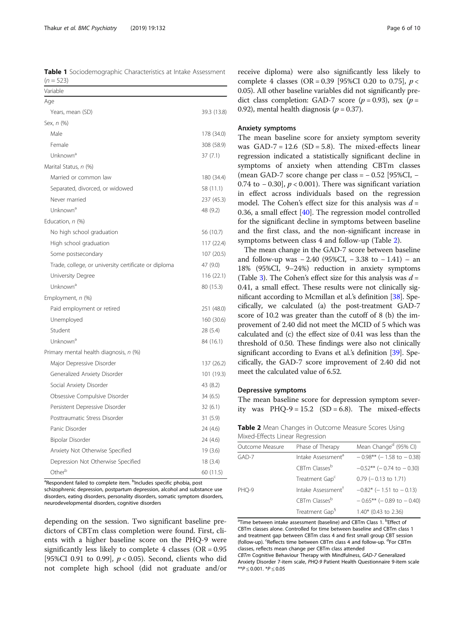<span id="page-5-0"></span>Table 1 Sociodemographic Characteristics at Intake Assessment  $(n = 523)$ 

| Variable                                             |             |
|------------------------------------------------------|-------------|
| Age                                                  |             |
| Years, mean (SD)                                     | 39.3 (13.8) |
| Sex, n (%)                                           |             |
| Male                                                 | 178 (34.0)  |
| Female                                               | 308 (58.9)  |
| Unknown <sup>a</sup>                                 | 37(7.1)     |
| Marital Status, n (%)                                |             |
| Married or common law                                | 180 (34.4)  |
| Separated, divorced, or widowed                      | 58 (11.1)   |
| Never married                                        | 237 (45.3)  |
| Unknown <sup>a</sup>                                 | 48 (9.2)    |
| Education, n (%)                                     |             |
| No high school graduation                            | 56 (10.7)   |
| High school graduation                               | 117 (22.4)  |
| Some postsecondary                                   | 107(20.5)   |
| Trade, college, or university certificate or diploma | 47 (9.0)    |
| University Degree                                    | 116(22.1)   |
| Unknown <sup>a</sup>                                 | 80 (15.3)   |
| Employment, n (%)                                    |             |
| Paid employment or retired                           | 251 (48.0)  |
| Unemployed                                           | 160(30.6)   |
| Student                                              | 28 (5.4)    |
| Unknown <sup>a</sup>                                 | 84 (16.1)   |
| Primary mental health diagnosis, n (%)               |             |
| Major Depressive Disorder                            | 137 (26.2)  |
| Generalized Anxiety Disorder                         | 101 (19.3)  |
| Social Anxiety Disorder                              | 43 (8.2)    |
| Obsessive Compulsive Disorder                        | 34(6.5)     |
| Persistent Depressive Disorder                       | 32(6.1)     |
| Posttraumatic Stress Disorder                        | 31(5.9)     |
| Panic Disorder                                       | 24 (4.6)    |
| Bipolar Disorder                                     | 24 (4.6)    |
| Anxiety Not Otherwise Specified                      | 19(3.6)     |
| Depression Not Otherwise Specified                   | 18(3.4)     |
| Other <sup>b</sup>                                   | 60 (11.5)   |

<sup>a</sup>Respondent failed to complete item. <sup>b</sup>Includes specific phobia, post

schizophrenic depression, postpartum depression, alcohol and substance use disorders, eating disorders, personality disorders, somatic symptom disorders, neurodevelopmental disorders, cognitive disorders

depending on the session. Two significant baseline predictors of CBTm class completion were found. First, clients with a higher baseline score on the PHQ-9 were significantly less likely to complete 4 classes ( $OR = 0.95$ ) [95%CI 0.91 to 0.99],  $p < 0.05$ ). Second, clients who did not complete high school (did not graduate and/or

receive diploma) were also significantly less likely to complete 4 classes (OR = 0.39 [95%CI 0.20 to 0.75],  $p <$ 0.05). All other baseline variables did not significantly predict class completion: GAD-7 score ( $p = 0.93$ ), sex ( $p =$ 0.92), mental health diagnosis ( $p = 0.37$ ).

## Anxiety symptoms

The mean baseline score for anxiety symptom severity was  $GAD-7 = 12.6$   $(SD = 5.8)$ . The mixed-effects linear regression indicated a statistically significant decline in symptoms of anxiety when attending CBTm classes (mean GAD-7 score change per class = − 0.52 [95%CI, − 0.74 to  $-$  0.30],  $p < 0.001$ ). There was significant variation in effect across individuals based on the regression model. The Cohen's effect size for this analysis was  $d =$ 0.36, a small effect [[40\]](#page-9-0). The regression model controlled for the significant decline in symptoms between baseline and the first class, and the non-significant increase in symptoms between class 4 and follow-up (Table 2).

The mean change in the GAD-7 score between baseline and follow-up was  $-2.40$  (95%CI,  $-3.38$  to  $-1.41$ ) – an 18% (95%CI, 9–24%) reduction in anxiety symptoms (Table [3](#page-6-0)). The Cohen's effect size for this analysis was  $d =$ 0.41, a small effect. These results were not clinically significant according to Mcmillan et al.'s definition [\[38\]](#page-9-0). Specifically, we calculated (a) the post-treatment GAD-7 score of 10.2 was greater than the cutoff of 8 (b) the improvement of 2.40 did not meet the MCID of 5 which was calculated and (c) the effect size of 0.41 was less than the threshold of 0.50. These findings were also not clinically significant according to Evans et al.'s definition [\[39](#page-9-0)]. Specifically, the GAD-7 score improvement of 2.40 did not meet the calculated value of 6.52.

## Depressive symptoms

The mean baseline score for depression symptom severity was  $PHQ-9 = 15.2$  (SD = 6.8). The mixed-effects

Table 2 Mean Changes in Outcome Measure Scores Using Mixed-Effects Linear Regression

| Outcome Measure | Phase of Therapy               | Mean Change <sup>d</sup> (95% CI) |
|-----------------|--------------------------------|-----------------------------------|
| GAD-7           | Intake Assessment <sup>d</sup> | $-0.98***$ (-1.58 to $-0.38$ )    |
|                 | CBTm Classesb                  | $-0.52**$ (-0.74 to $-0.30$ )     |
|                 | Treatment Gap <sup>c</sup>     | $0.79$ (-0.13 to 1.71)            |
| PHO-9           | Intake Assessment <sup>+</sup> | $-0.82*$ (-1.51 to $-0.13$ )      |
|                 | CBTm Classesb                  | $-0.65***$ (-0.89 to $-0.40$ )    |
|                 | Treatment Gap <sup>§</sup>     | 1.40* (0.43 to 2.36)              |

<sup>a</sup>Time between intake assessment (baseline) and CBTm Class 1. <sup>b</sup>Effect of CBTm classes alone. Controlled for time between baseline and CBTm class 1 and treatment gap between CBTm class 4 and first small group CBT session (follow-up). <sup>c</sup>Reflects time between CBTm class 4 and follow-up. <sup>d</sup>For CBTm classes, reflects mean change per CBTm class attended

CBTm Cognitive Behaviour Therapy with Mindfulness, GAD-7 Generalized Anxiety Disorder 7-item scale, PHQ-9 Patient Health Questionnaire 9-item scale  $**P \leq 0.001$ .  $*P \leq 0.05$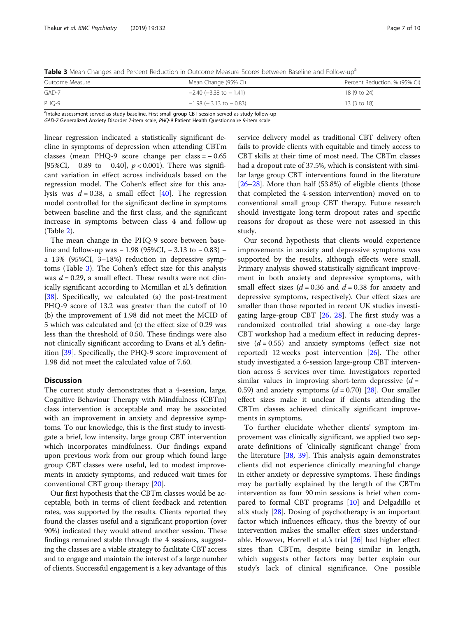<span id="page-6-0"></span>Table 3 Mean Changes and Percent Reduction in Outcome Measure Scores between Baseline and Follow-up<sup>a</sup>

| Outcome Measure | Mean Change (95% CI)           | Percent Reduction, % (95% CI) |
|-----------------|--------------------------------|-------------------------------|
| $GAD-7$         | $-2.40$ ( $-3.38$ to $-1.41$ ) | 18 (9 to 24)                  |
| $PHO-9$         | $-1.98$ ( $-3.13$ to $-0.83$ ) | 13 (3 to 18)                  |

<sup>a</sup>Intake assessment served as study baseline. First small group CBT session served as study follow-up

GAD-7 Generalized Anxiety Disorder 7-item scale, PHQ-9 Patient Health Questionnaire 9-item scale

linear regression indicated a statistically significant decline in symptoms of depression when attending CBTm classes (mean PHQ-9 score change per class = − 0.65 [95%CI, −0.89 to −0.40],  $p < 0.001$ ). There was significant variation in effect across individuals based on the regression model. The Cohen's effect size for this analysis was  $d = 0.38$ , a small effect [[40\]](#page-9-0). The regression model controlled for the significant decline in symptoms between baseline and the first class, and the significant increase in symptoms between class 4 and follow-up (Table [2\)](#page-5-0).

The mean change in the PHQ-9 score between baseline and follow-up was − 1.98 (95%CI, − 3.13 to − 0.83) – a 13% (95%CI, 3–18%) reduction in depressive symptoms (Table 3). The Cohen's effect size for this analysis was  $d = 0.29$ , a small effect. These results were not clinically significant according to Mcmillan et al.'s definition [[38\]](#page-9-0). Specifically, we calculated (a) the post-treatment PHQ-9 score of 13.2 was greater than the cutoff of 10 (b) the improvement of 1.98 did not meet the MCID of 5 which was calculated and (c) the effect size of 0.29 was less than the threshold of 0.50. These findings were also not clinically significant according to Evans et al.'s definition [[39\]](#page-9-0). Specifically, the PHQ-9 score improvement of 1.98 did not meet the calculated value of 7.60.

## **Discussion**

The current study demonstrates that a 4-session, large, Cognitive Behaviour Therapy with Mindfulness (CBTm) class intervention is acceptable and may be associated with an improvement in anxiety and depressive symptoms. To our knowledge, this is the first study to investigate a brief, low intensity, large group CBT intervention which incorporates mindfulness. Our findings expand upon previous work from our group which found large group CBT classes were useful, led to modest improvements in anxiety symptoms, and reduced wait times for conventional CBT group therapy [[20\]](#page-8-0).

Our first hypothesis that the CBTm classes would be acceptable, both in terms of client feedback and retention rates, was supported by the results. Clients reported they found the classes useful and a significant proportion (over 90%) indicated they would attend another session. These findings remained stable through the 4 sessions, suggesting the classes are a viable strategy to facilitate CBT access and to engage and maintain the interest of a large number of clients. Successful engagement is a key advantage of this

service delivery model as traditional CBT delivery often fails to provide clients with equitable and timely access to CBT skills at their time of most need. The CBTm classes had a dropout rate of 37.5%, which is consistent with similar large group CBT interventions found in the literature [[26](#page-8-0)–[28\]](#page-8-0). More than half (53.8%) of eligible clients (those that completed the 4-session intervention) moved on to conventional small group CBT therapy. Future research should investigate long-term dropout rates and specific reasons for dropout as these were not assessed in this study.

Our second hypothesis that clients would experience improvements in anxiety and depressive symptoms was supported by the results, although effects were small. Primary analysis showed statistically significant improvement in both anxiety and depressive symptoms, with small effect sizes ( $d = 0.36$  and  $d = 0.38$  for anxiety and depressive symptoms, respectively). Our effect sizes are smaller than those reported in recent UK studies investigating large-group CBT [\[26,](#page-8-0) [28](#page-8-0)]. The first study was a randomized controlled trial showing a one-day large CBT workshop had a medium effect in reducing depressive  $(d = 0.55)$  and anxiety symptoms (effect size not reported) 12 weeks post intervention [[26](#page-8-0)]. The other study investigated a 6-session large-group CBT intervention across 5 services over time. Investigators reported similar values in improving short-term depressive  $(d =$ 0.59) and anxiety symptoms  $(d = 0.70)$  [\[28\]](#page-8-0). Our smaller effect sizes make it unclear if clients attending the CBTm classes achieved clinically significant improvements in symptoms.

To further elucidate whether clients' symptom improvement was clinically significant, we applied two separate definitions of 'clinically significant change' from the literature [\[38,](#page-9-0) [39\]](#page-9-0). This analysis again demonstrates clients did not experience clinically meaningful change in either anxiety or depressive symptoms. These findings may be partially explained by the length of the CBTm intervention as four 90 min sessions is brief when compared to formal CBT programs [[10](#page-8-0)] and Delgadillo et al.'s study [[28\]](#page-8-0). Dosing of psychotherapy is an important factor which influences efficacy, thus the brevity of our intervention makes the smaller effect sizes understandable. However, Horrell et al.'s trial [\[26\]](#page-8-0) had higher effect sizes than CBTm, despite being similar in length, which suggests other factors may better explain our study's lack of clinical significance. One possible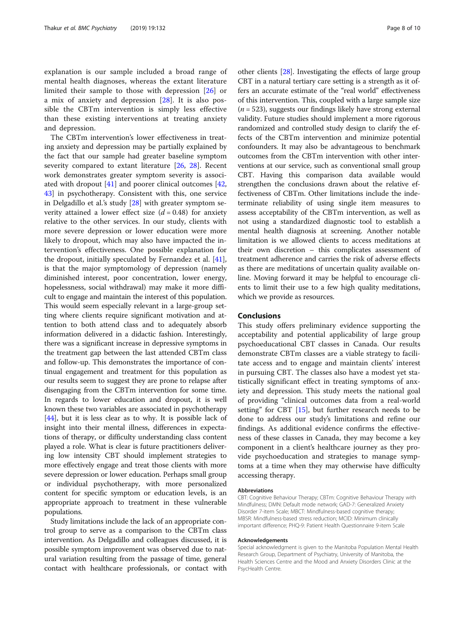explanation is our sample included a broad range of mental health diagnoses, whereas the extant literature limited their sample to those with depression [[26\]](#page-8-0) or a mix of anxiety and depression [[28\]](#page-8-0). It is also possible the CBTm intervention is simply less effective than these existing interventions at treating anxiety and depression.

The CBTm intervention's lower effectiveness in treating anxiety and depression may be partially explained by the fact that our sample had greater baseline symptom severity compared to extant literature [\[26,](#page-8-0) [28\]](#page-8-0). Recent work demonstrates greater symptom severity is associated with dropout  $[41]$  $[41]$  and poorer clinical outcomes  $[42, 42]$  $[42, 42]$  $[42, 42]$ [43\]](#page-9-0) in psychotherapy. Consistent with this, one service in Delgadillo et al.'s study [[28](#page-8-0)] with greater symptom severity attained a lower effect size  $(d = 0.48)$  for anxiety relative to the other services. In our study, clients with more severe depression or lower education were more likely to dropout, which may also have impacted the intervention's effectiveness. One possible explanation for the dropout, initially speculated by Fernandez et al. [\[41](#page-9-0)], is that the major symptomology of depression (namely diminished interest, poor concentration, lower energy, hopelessness, social withdrawal) may make it more difficult to engage and maintain the interest of this population. This would seem especially relevant in a large-group setting where clients require significant motivation and attention to both attend class and to adequately absorb information delivered in a didactic fashion. Interestingly, there was a significant increase in depressive symptoms in the treatment gap between the last attended CBTm class and follow-up. This demonstrates the importance of continual engagement and treatment for this population as our results seem to suggest they are prone to relapse after disengaging from the CBTm intervention for some time. In regards to lower education and dropout, it is well known these two variables are associated in psychotherapy [[44](#page-9-0)], but it is less clear as to why. It is possible lack of insight into their mental illness, differences in expectations of therapy, or difficulty understanding class content played a role. What is clear is future practitioners delivering low intensity CBT should implement strategies to more effectively engage and treat those clients with more severe depression or lower education. Perhaps small group or individual psychotherapy, with more personalized content for specific symptom or education levels, is an appropriate approach to treatment in these vulnerable populations.

Study limitations include the lack of an appropriate control group to serve as a comparison to the CBTm class intervention. As Delgadillo and colleagues discussed, it is possible symptom improvement was observed due to natural variation resulting from the passage of time, general contact with healthcare professionals, or contact with other clients [\[28\]](#page-8-0). Investigating the effects of large group CBT in a natural tertiary care setting is a strength as it offers an accurate estimate of the "real world" effectiveness of this intervention. This, coupled with a large sample size  $(n = 523)$ , suggests our findings likely have strong external validity. Future studies should implement a more rigorous randomized and controlled study design to clarify the effects of the CBTm intervention and minimize potential confounders. It may also be advantageous to benchmark outcomes from the CBTm intervention with other interventions at our service, such as conventional small group CBT. Having this comparison data available would strengthen the conclusions drawn about the relative effectiveness of CBTm. Other limitations include the indeterminate reliability of using single item measures to assess acceptability of the CBTm intervention, as well as not using a standardized diagnostic tool to establish a mental health diagnosis at screening. Another notable limitation is we allowed clients to access meditations at their own discretion – this complicates assessment of treatment adherence and carries the risk of adverse effects as there are meditations of uncertain quality available online. Moving forward it may be helpful to encourage clients to limit their use to a few high quality meditations, which we provide as resources.

## Conclusions

This study offers preliminary evidence supporting the acceptability and potential applicability of large group psychoeducational CBT classes in Canada. Our results demonstrate CBTm classes are a viable strategy to facilitate access and to engage and maintain clients' interest in pursuing CBT. The classes also have a modest yet statistically significant effect in treating symptoms of anxiety and depression. This study meets the national goal of providing "clinical outcomes data from a real-world setting" for CBT [[15\]](#page-8-0), but further research needs to be done to address our study's limitations and refine our findings. As additional evidence confirms the effectiveness of these classes in Canada, they may become a key component in a client's healthcare journey as they provide psychoeducation and strategies to manage symptoms at a time when they may otherwise have difficulty accessing therapy.

#### Abbreviations

CBT: Cognitive Behaviour Therapy; CBTm: Cognitive Behaviour Therapy with Mindfulness; DMN: Default mode network; GAD-7: Generalized Anxiety Disorder 7-item Scale; MBCT: Mindfulness-based cognitive therapy; MBSR: Mindfulness-based stress reduction; MCID: Minimum clinically important difference; PHQ-9: Patient Health Questionnaire 9-item Scale

#### Acknowledgements

Special acknowledgment is given to the Manitoba Population Mental Health Research Group, Department of Psychiatry, University of Manitoba, the Health Sciences Centre and the Mood and Anxiety Disorders Clinic at the PsycHealth Centre.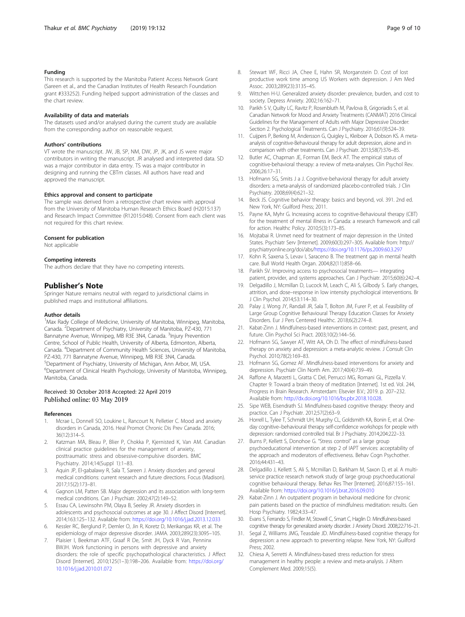## <span id="page-8-0"></span>Funding

This research is supported by the Manitoba Patient Access Network Grant (Sareen et al., and the Canadian Institutes of Health Research Foundation grant #333252). Funding helped support administration of the classes and the chart review.

## Availability of data and materials

The datasets used and/or analysed during the current study are available from the corresponding author on reasonable request.

#### Authors' contributions

VT wrote the manuscript. JW, JB, SP, NM, DW, JP, JK, and JS were major contributors in writing the manuscript. JR analysed and interpreted data. SD was a major contributor in data entry. TS was a major contributor in designing and running the CBTm classes. All authors have read and approved the manuscript.

#### Ethics approval and consent to participate

The sample was derived from a retrospective chart review with approval from the University of Manitoba Human Research Ethics Board (H2015:137) and Research Impact Committee (R12015:048). Consent from each client was not required for this chart review.

#### Consent for publication

Not applicable

#### Competing interests

The authors declare that they have no competing interests.

## Publisher's Note

Springer Nature remains neutral with regard to jurisdictional claims in published maps and institutional affiliations.

#### Author details

<sup>1</sup>Max Rady College of Medicine, University of Manitoba, Winnipeg, Manitoba, Canada. <sup>2</sup> Department of Psychiatry, University of Manitoba, PZ-430, 771 Bannatyne Avenue, Winnipeg, MB R3E 3N4, Canada. <sup>3</sup>Injury Prevention Centre, School of Public Health, University of Alberta, Edmonton, Alberta, Canada. <sup>4</sup> Department of Community Health Sciences, University of Manitoba, PZ-430, 771 Bannatyne Avenue, Winnipeg, MB R3E 3N4, Canada. 5 Department of Psychiatry, University of Michigan, Ann Arbor, MI, USA. 6 Department of Clinical Health Psychology, University of Manitoba, Winnipeg, Manitoba, Canada.

## Received: 30 October 2018 Accepted: 22 April 2019

#### References

- 1. Mcrae L, Donnell SO, Loukine L, Rancourt N, Pelletier C. Mood and anxiety disorders in Canada, 2016. Heal Promot Chronic Dis Prev Canada. 2016; 36(12):314–5.
- 2. Katzman MA, Bleau P, Blier P, Chokka P, Kjernisted K, Van AM. Canadian clinical practice guidelines for the management of anxiety, posttraumatic stress and obsessive-compulsive disorders. BMC Psychiatry. 2014;14(Suppl 1):1–83.
- 3. Aquin JP, El-gabalawy R, Sala T, Sareen J. Anxiety disorders and general medical conditions: current research and future directions. Focus (Madison). 2017;15(2):173–81.
- 4. Gagnon LM, Patten SB. Major depression and its association with long-term medical conditions. Can J Psychiatr. 2002;47(2):149–52.
- 5. Essau CA, Lewinsohn PM, Olaya B, Seeley JR. Anxiety disorders in adolescents and psychosocial outcomes at age 30. J Affect Disord [Internet]. 2014;163:125–132. Available from: <https://doi.org/10.1016/j.jad.2013.12.033>
- 6. Kessler RC, Berglund P, Demler O, Jin R, Koretz D, Merikangas KR, et al. The epidemiology of major depressive disorder. JAMA. 2003;289(23):3095–105.
- Plaisier I, Beekman ATF, Graaf R De, Smit JH, Dyck R Van, Penninx BWJH. Work functioning in persons with depressive and anxiety disorders: the role of specific psychopathological characteristics. J Affect Disord [Internet]. 2010;125(1–3):198–206. Available from: [https://doi.org/](https://doi.org/10.1016/j.jad.2010.01.072) [10.1016/j.jad.2010.01.072](https://doi.org/10.1016/j.jad.2010.01.072)
- 8. Stewart WF, Ricci JA, Chee E, Hahn SR, Morganstein D. Cost of lost productive work time among US Workers with depression. J Am Med Assoc. 2003;289(23):3135–45.
- 9. Wittchen H-U. Generalized anxiety disorder: prevalence, burden, and cost to society. Depress Anxiety. 2002;16:162–71.
- 10. Parikh S V, Quilty LC, Ravitz P, Rosenbluth M, Pavlova B, Grigoriadis S, et al. Canadian Network for Mood and Anxiety Treatments (CANMAT) 2016 Clinical Guidelines for the Management of Adults with Major Depressive Disorder: Section 2. Psychological Treatments. Can J Psychiatry. 2016;61(9):524–39.
- 11. Cuijpers P, Berking M, Andersson G, Quigley L, Kleiboer A, Dobson KS. A metaanalysis of cognitive-Behavioural therapy for adult depression, alone and in comparison with other treatments. Can J Psychiatr. 2013;58(7):376–85.
- 12. Butler AC, Chapman JE, Forman EM, Beck AT. The empirical status of cognitive-behavioral therapy: a review of meta-analyses. Clin Psychol Rev. 2006;26:17–31.
- 13. Hofmann SG, Smits J a J. Cognitive-behavioral therapy for adult anxiety disorders: a meta-analysis of randomized placebo-controlled trials. J Clin Psychiatry. 2008;69(4):621–32.
- 14. Beck JS. Cognitive behavior therapy: basics and beyond, vol. 391. 2nd ed. New York, NY: Guilford Press; 2011.
- 15. Payne KA, Myhr G. Increasing access to cognitive-Behavioural therapy (CBT) for the treatment of mental illness in Canada: a research framework and call for action. Healthc Policy. 2010;5(3):173–85.
- 16. Mojtabai R. Unmet need for treatment of major depression in the United States. Psychiatr Serv [Internet]. 2009;60(3):297–305. Available from: http:// psychiatryonline.org/doi/abs/<https://doi.org/10.1176/ps.2009.60.3.297>
- 17. Kohn R, Saxena S, Levav I, Saraceno B. The treatment gap in mental health care. Bull World Health Organ. 2004;82(11):858–66.
- 18. Parikh SV. Improving access to psychosocial treatments— integrating patient, provider, and systems approaches. Can J Psychiatr. 2015;60(6):242–4.
- 19. Delgadillo J, Mcmillan D, Lucock M, Leach C, Ali S, Gilbody S. Early changes, attrition, and dose–response in low intensity psychological interventions. Br J Clin Psychol. 2014;53:114–30.
- 20. Palay J, Wong JY, Randall JR, Sala T, Bolton JM, Furer P, et al. Feasibility of Large Group Cognitive Behavioural Therapy Education Classes for Anxiety Disorders. Eur J Pers Centered Healthc. 2018;6(2):274–8.
- 21. Kabat-Zinn J. Mindfulness-based interventions in context: past, present, and future. Clin Psychol Sci Pract. 2003;10(2):144–56.
- 22. Hofmann SG, Sawyer AT, Witt AA, Oh D. The effect of mindfulness-based therapy on anxiety and depression: a meta-analytic review. J Consult Clin Psychol. 2010;78(2):169–83.
- 23. Hofmann SG, Gomez AF. Mindfulness-based interventions for anxiety and depression. Psychiatr Clin North Am. 2017;40(4):739–49.
- 24. Raffone A, Marzetti L, Gratta C Del, Perrucci MG, Romani GL, Pizzella V. Chapter 9: Toward a brain theory of meditation [Internet]. 1st ed. Vol. 244, Progress in Brain Research. Amsterdam: Elsevier B.V.; 2019. p. 207–232. Available from: [http://dx.doi.org/10.1016/bs.pbr.2018.10.028.](http://dx.doi.org/10.1016/bs.pbr.2018.10.028)
- 25. Sipe WEB, Eisendrath SJ. Mindfulness-based cognitive therapy: theory and practice. Can J Psychiatr. 2012;57(2):63–9.
- 26. Horrell L, Tylee T, Schmidt UH, Murphy CL, Goldsmith KA, Bonin E, et al. Oneday cognitive–behavioural therapy self-confidence workshops for people with depression: randomised controlled trial. Br J Psychiatry. 2014;204:222–33.
- 27. Burns P, Kellett S, Donohoe G. "Stress control" as a large group psychoeducational intervention at step 2 of IAPT services: acceptability of the approach and moderators of effectiveness. Behav Cogn Psychother. 2016;44:431–43.
- 28. Delgadillo J, Kellett S, Ali S, Mcmillan D, Barkham M, Saxon D, et al. A multiservice practice research network study of large group psychoeducational cognitive behavioural therapy. Behav Res Ther [Internet]. 2016;87:155–161. Available from: <https://doi.org/10.1016/j.brat.2016.09.010>
- 29. Kabat-Zinn J. An outpatient program in behavioral medicine for chronic pain patients based on the practice of mindfulness meditation: results. Gen Hosp Psychiatry. 1982;4:33–47.
- 30. Evans S, Ferrando S, Findler M, Stowell C, Smart C, Haglin D. Mindfulness-based cognitive therapy for generalized anxiety disorder. J Anxiety Disord. 2008;22:716–21.
- 31. Segal Z, Williams JMG, Teasdale JD. Mindfulness-based cognitive therapy for depression: a new approach to preventing relapse. New York, NY: Guilford Press; 2002.
- 32. Chiesa A, Serretti A. Mindfulness-based stress reduction for stress management in healthy people: a review and meta-analysis. J Altern Complement Med. 2009;15(5).